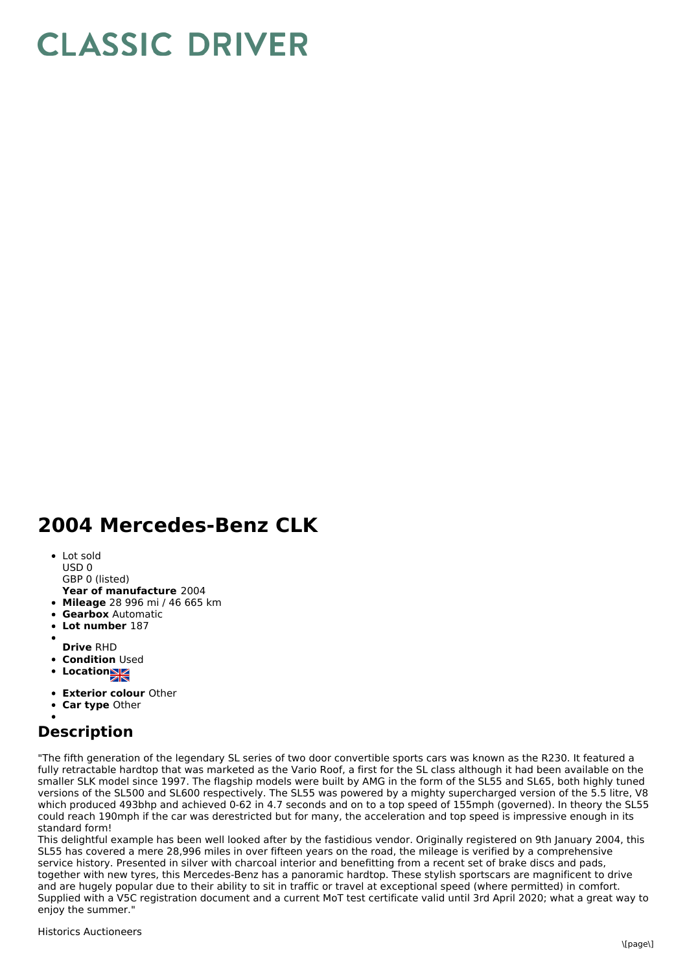## **CLASSIC DRIVER**

## **2004 Mercedes-Benz CLK**

- Lot sold USD 0
- GBP 0 (listed)
- **Year of manufacture** 2004
- **Mileage** 28 996 mi / 46 665 km
- **Gearbox** Automatic
- **Lot number** 187
- 
- **Drive** RHD
- **Condition Used**
- **Location**
- **Exterior colour** Other
- **Car type** Other

## **Description**

"The fifth generation of the legendary SL series of two door convertible sports cars was known as the R230. It featured a fully retractable hardtop that was marketed as the Vario Roof, a first for the SL class although it had been available on the smaller SLK model since 1997. The flagship models were built by AMG in the form of the SL55 and SL65, both highly tuned versions of the SL500 and SL600 respectively. The SL55 was powered by a mighty supercharged version of the 5.5 litre, V8 which produced 493bhp and achieved 0-62 in 4.7 seconds and on to a top speed of 155mph (governed). In theory the SL55 could reach 190mph if the car was derestricted but for many, the acceleration and top speed is impressive enough in its standard form!

This delightful example has been well looked after by the fastidious vendor. Originally registered on 9th January 2004, this SL55 has covered a mere 28,996 miles in over fifteen years on the road, the mileage is verified by a comprehensive service history. Presented in silver with charcoal interior and benefitting from a recent set of brake discs and pads, together with new tyres, this Mercedes-Benz has a panoramic hardtop. These stylish sportscars are magnificent to drive and are hugely popular due to their ability to sit in traffic or travel at exceptional speed (where permitted) in comfort. Supplied with a V5C registration document and a current MoT test certificate valid until 3rd April 2020; what a great way to enjoy the summer."